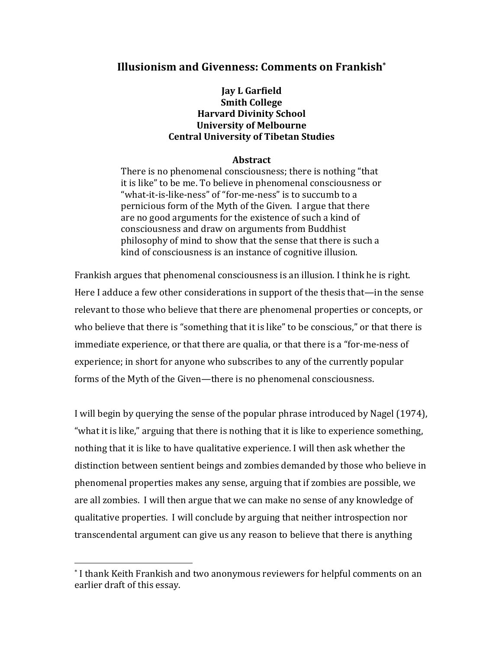# **Illusionism and Givenness: Comments on Frankish\***

## **Jay L Garfield Smith College Harvard Divinity School University of Melbourne Central University of Tibetan Studies**

## **Abstract**

There is no phenomenal consciousness; there is nothing "that it is like" to be me. To believe in phenomenal consciousness or "what-it-is-like-ness" of "for-me-ness" is to succumb to a pernicious form of the Myth of the Given. I argue that there are no good arguments for the existence of such a kind of consciousness and draw on arguments from Buddhist philosophy of mind to show that the sense that there is such a kind of consciousness is an instance of cognitive illusion.

Frankish argues that phenomenal consciousness is an illusion. I think he is right. Here I adduce a few other considerations in support of the thesis that—in the sense relevant to those who believe that there are phenomenal properties or concepts, or who believe that there is "something that it is like" to be conscious," or that there is immediate experience, or that there are qualia, or that there is a "for-me-ness of experience; in short for anyone who subscribes to any of the currently popular forms of the Myth of the Given—there is no phenomenal consciousness.

I will begin by querying the sense of the popular phrase introduced by Nagel (1974), "what it is like," arguing that there is nothing that it is like to experience something, nothing that it is like to have qualitative experience. I will then ask whether the distinction between sentient beings and zombies demanded by those who believe in phenomenal properties makes any sense, arguing that if zombies are possible, we are all zombies. I will then argue that we can make no sense of any knowledge of qualitative properties. I will conclude by arguing that neither introspection nor transcendental argument can give us any reason to believe that there is anything

 

<sup>\*</sup> I thank Keith Frankish and two anonymous reviewers for helpful comments on an earlier draft of this essay.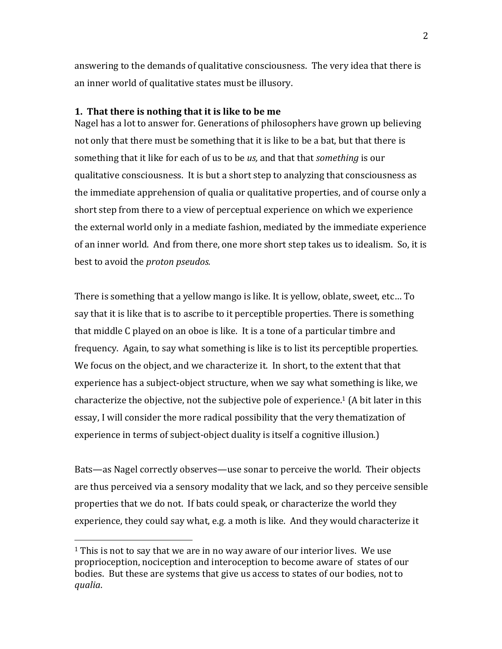answering to the demands of qualitative consciousness. The very idea that there is an inner world of qualitative states must be illusory.

#### **1.** That there is nothing that it is like to be me

Nagel has a lot to answer for. Generations of philosophers have grown up believing not only that there must be something that it is like to be a bat, but that there is something that it like for each of us to be *us*, and that that *something* is our qualitative consciousness. It is but a short step to analyzing that consciousness as the immediate apprehension of qualia or qualitative properties, and of course only a short step from there to a view of perceptual experience on which we experience the external world only in a mediate fashion, mediated by the immediate experience of an inner world. And from there, one more short step takes us to idealism. So, it is best to avoid the *proton pseudos*.

There is something that a yellow mango is like. It is yellow, oblate, sweet, etc... To say that it is like that is to ascribe to it perceptible properties. There is something that middle C played on an oboe is like. It is a tone of a particular timbre and frequency. Again, to say what something is like is to list its perceptible properties. We focus on the object, and we characterize it. In short, to the extent that that experience has a subject-object structure, when we say what something is like, we characterize the objective, not the subjective pole of experience.<sup>1</sup> (A bit later in this essay, I will consider the more radical possibility that the very thematization of experience in terms of subject-object duality is itself a cognitive illusion.)

Bats—as Nagel correctly observes—use sonar to perceive the world. Their objects are thus perceived via a sensory modality that we lack, and so they perceive sensible properties that we do not. If bats could speak, or characterize the world they experience, they could say what, e.g. a moth is like. And they would characterize it

 

 $1$  This is not to say that we are in no way aware of our interior lives. We use proprioception, nociception and interoception to become aware of states of our bodies. But these are systems that give us access to states of our bodies, not to *qualia*.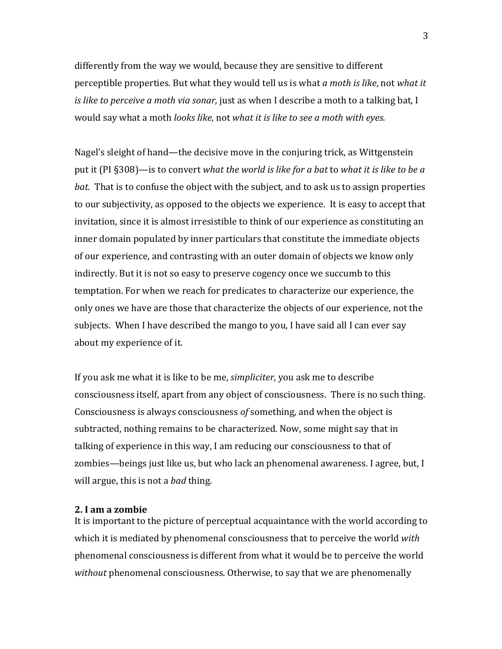differently from the way we would, because they are sensitive to different perceptible properties. But what they would tell us is what *a moth* is like, not what it *is like to perceive a moth via sonar,* just as when I describe a moth to a talking bat, I would say what a moth *looks like*, not what it is like to see a moth with eyes.

Nagel's sleight of hand—the decisive move in the conjuring trick, as Wittgenstein put it (PI §308)—is to convert *what the world is like for a bat* to *what it is like to be a bat*. That is to confuse the object with the subject, and to ask us to assign properties to our subjectivity, as opposed to the objects we experience. It is easy to accept that invitation, since it is almost irresistible to think of our experience as constituting an inner domain populated by inner particulars that constitute the immediate objects of our experience, and contrasting with an outer domain of objects we know only indirectly. But it is not so easy to preserve cogency once we succumb to this temptation. For when we reach for predicates to characterize our experience, the only ones we have are those that characterize the objects of our experience, not the subjects. When I have described the mango to you, I have said all I can ever say about my experience of it.

If you ask me what it is like to be me, *simpliciter*, you ask me to describe consciousness itself, apart from any object of consciousness. There is no such thing. Consciousness is always consciousness *of* something, and when the object is subtracted, nothing remains to be characterized. Now, some might say that in talking of experience in this way, I am reducing our consciousness to that of zombies—beings just like us, but who lack an phenomenal awareness. I agree, but, I will argue, this is not a *bad* thing.

#### **2. I am a zombie**

It is important to the picture of perceptual acquaintance with the world according to which it is mediated by phenomenal consciousness that to perceive the world *with* phenomenal consciousness is different from what it would be to perceive the world *without* phenomenal consciousness. Otherwise, to say that we are phenomenally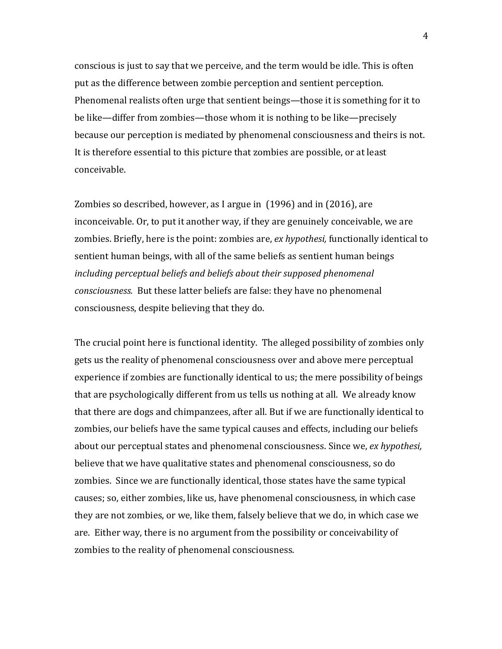conscious is just to say that we perceive, and the term would be idle. This is often put as the difference between zombie perception and sentient perception. Phenomenal realists often urge that sentient beings—those it is something for it to be like—differ from zombies—those whom it is nothing to be like—precisely because our perception is mediated by phenomenal consciousness and theirs is not. It is therefore essential to this picture that zombies are possible, or at least conceivable.

Zombies so described, however, as I argue in (1996) and in (2016), are inconceivable. Or, to put it another way, if they are genuinely conceivable, we are zombies. Briefly, here is the point: zombies are, ex hypothesi, functionally identical to sentient human beings, with all of the same beliefs as sentient human beings *including perceptual beliefs and beliefs about their supposed phenomenal consciousness.* But these latter beliefs are false: they have no phenomenal consciousness, despite believing that they do.

The crucial point here is functional identity. The alleged possibility of zombies only gets us the reality of phenomenal consciousness over and above mere perceptual experience if zombies are functionally identical to us; the mere possibility of beings that are psychologically different from us tells us nothing at all. We already know that there are dogs and chimpanzees, after all. But if we are functionally identical to zombies, our beliefs have the same typical causes and effects, including our beliefs about our perceptual states and phenomenal consciousness. Since we, *ex hypothesi*, believe that we have qualitative states and phenomenal consciousness, so do zombies. Since we are functionally identical, those states have the same typical causes; so, either zombies, like us, have phenomenal consciousness, in which case they are not zombies, or we, like them, falsely believe that we do, in which case we are. Either way, there is no argument from the possibility or conceivability of zombies to the reality of phenomenal consciousness.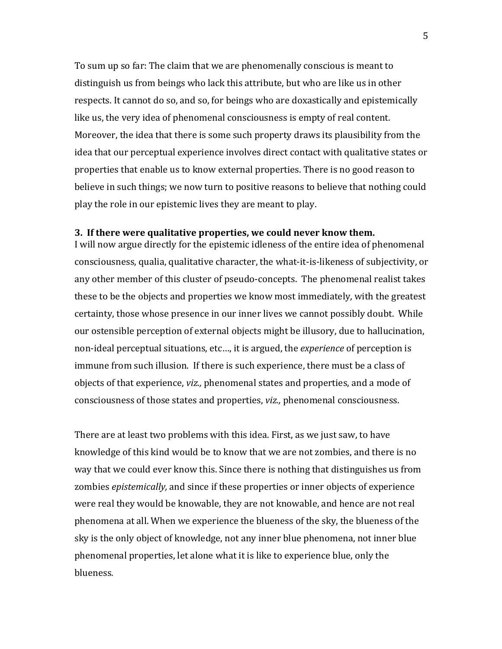To sum up so far: The claim that we are phenomenally conscious is meant to distinguish us from beings who lack this attribute, but who are like us in other respects. It cannot do so, and so, for beings who are doxastically and epistemically like us, the very idea of phenomenal consciousness is empty of real content. Moreover, the idea that there is some such property draws its plausibility from the idea that our perceptual experience involves direct contact with qualitative states or properties that enable us to know external properties. There is no good reason to believe in such things; we now turn to positive reasons to believe that nothing could play the role in our epistemic lives they are meant to play.

## **3.** If there were qualitative properties, we could never know them.

I will now argue directly for the epistemic idleness of the entire idea of phenomenal consciousness, qualia, qualitative character, the what-it-is-likeness of subjectivity, or any other member of this cluster of pseudo-concepts. The phenomenal realist takes these to be the objects and properties we know most immediately, with the greatest certainty, those whose presence in our inner lives we cannot possibly doubt. While our ostensible perception of external objects might be illusory, due to hallucination, non-ideal perceptual situations, etc..., it is argued, the *experience* of perception is immune from such illusion. If there is such experience, there must be a class of objects of that experience, *viz.*, phenomenal states and properties, and a mode of consciousness of those states and properties, *viz.*, phenomenal consciousness.

There are at least two problems with this idea. First, as we just saw, to have knowledge of this kind would be to know that we are not zombies, and there is no way that we could ever know this. Since there is nothing that distinguishes us from zombies *epistemically*, and since if these properties or inner objects of experience were real they would be knowable, they are not knowable, and hence are not real phenomena at all. When we experience the blueness of the sky, the blueness of the sky is the only object of knowledge, not any inner blue phenomena, not inner blue phenomenal properties, let alone what it is like to experience blue, only the blueness.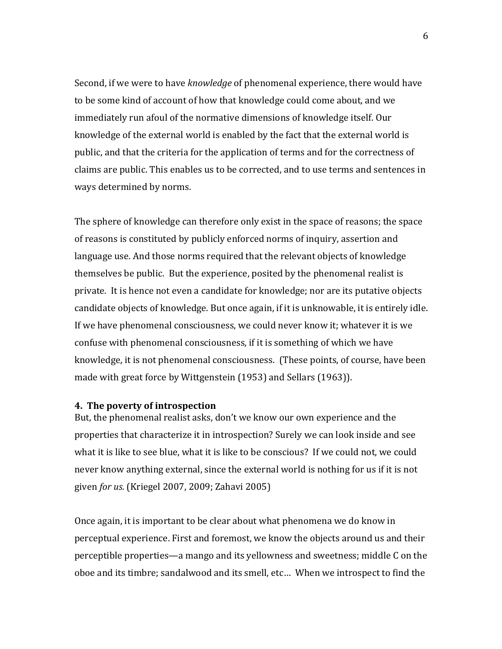Second, if we were to have *knowledge* of phenomenal experience, there would have to be some kind of account of how that knowledge could come about, and we immediately run afoul of the normative dimensions of knowledge itself. Our knowledge of the external world is enabled by the fact that the external world is public, and that the criteria for the application of terms and for the correctness of claims are public. This enables us to be corrected, and to use terms and sentences in ways determined by norms.

The sphere of knowledge can therefore only exist in the space of reasons; the space of reasons is constituted by publicly enforced norms of inquiry, assertion and language use. And those norms required that the relevant objects of knowledge themselves be public. But the experience, posited by the phenomenal realist is private. It is hence not even a candidate for knowledge; nor are its putative objects candidate objects of knowledge. But once again, if it is unknowable, it is entirely idle. If we have phenomenal consciousness, we could never know it; whatever it is we confuse with phenomenal consciousness, if it is something of which we have knowledge, it is not phenomenal consciousness. (These points, of course, have been made with great force by Wittgenstein (1953) and Sellars (1963)).

### **4.** The poverty of introspection

But. the phenomenal realist asks, don't we know our own experience and the properties that characterize it in introspection? Surely we can look inside and see what it is like to see blue, what it is like to be conscious? If we could not, we could never know anything external, since the external world is nothing for us if it is not given *for us.* (Kriegel 2007, 2009; Zahavi 2005)

Once again, it is important to be clear about what phenomena we do know in perceptual experience. First and foremost, we know the objects around us and their perceptible properties—a mango and its yellowness and sweetness; middle C on the oboe and its timbre; sandalwood and its smell, etc... When we introspect to find the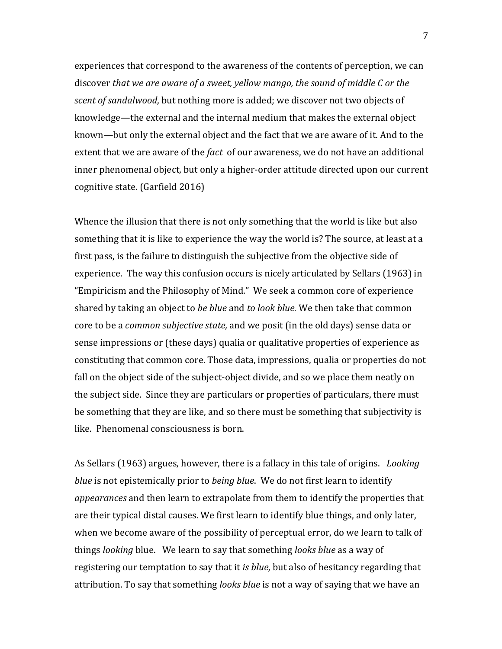experiences that correspond to the awareness of the contents of perception, we can discover that we are aware of a sweet, yellow mango, the sound of middle C or the *scent of sandalwood*, but nothing more is added; we discover not two objects of knowledge—the external and the internal medium that makes the external object known—but only the external object and the fact that we are aware of it. And to the extent that we are aware of the *fact* of our awareness, we do not have an additional inner phenomenal object, but only a higher-order attitude directed upon our current cognitive state. (Garfield 2016)

Whence the illusion that there is not only something that the world is like but also something that it is like to experience the way the world is? The source, at least at a first pass, is the failure to distinguish the subjective from the objective side of experience. The way this confusion occurs is nicely articulated by Sellars (1963) in "Empiricism and the Philosophy of Mind." We seek a common core of experience shared by taking an object to *be blue* and *to look blue.* We then take that common core to be a *common subjective state*, and we posit (in the old days) sense data or sense impressions or (these days) qualia or qualitative properties of experience as constituting that common core. Those data, impressions, qualia or properties do not fall on the object side of the subject-object divide, and so we place them neatly on the subject side. Since they are particulars or properties of particulars, there must be something that they are like, and so there must be something that subjectivity is like. Phenomenal consciousness is born.

As Sellars (1963) argues, however, there is a fallacy in this tale of origins. *Looking blue* is not epistemically prior to *being blue*. We do not first learn to identify *appearances* and then learn to extrapolate from them to identify the properties that are their typical distal causes. We first learn to identify blue things, and only later, when we become aware of the possibility of perceptual error, do we learn to talk of things *looking* blue. We learn to say that something *looks blue* as a way of registering our temptation to say that it *is blue*, but also of hesitancy regarding that attribution. To say that something *looks blue* is not a way of saying that we have an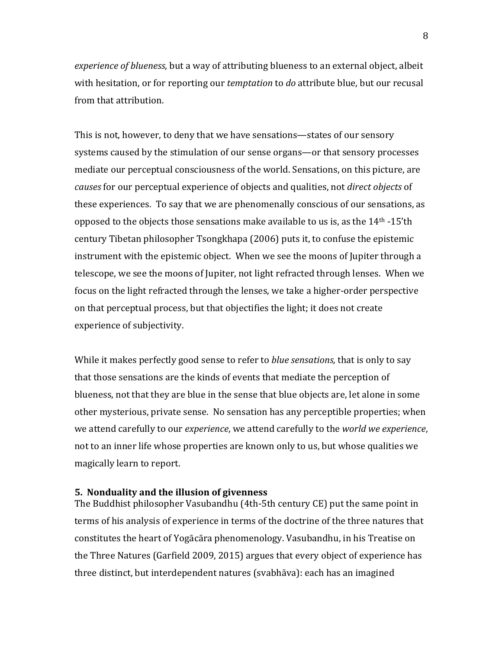*experience of blueness*, but a way of attributing blueness to an external object, albeit with hesitation, or for reporting our *temptation* to *do* attribute blue, but our recusal from that attribution.

This is not, however, to deny that we have sensations—states of our sensory systems caused by the stimulation of our sense organs—or that sensory processes mediate our perceptual consciousness of the world. Sensations, on this picture, are *causes* for our perceptual experience of objects and qualities, not *direct objects* of these experiences. To say that we are phenomenally conscious of our sensations, as opposed to the objects those sensations make available to us is, as the  $14<sup>th</sup>$  -15'th century Tibetan philosopher Tsongkhapa (2006) puts it, to confuse the epistemic instrument with the epistemic object. When we see the moons of Jupiter through a telescope, we see the moons of Jupiter, not light refracted through lenses. When we focus on the light refracted through the lenses, we take a higher-order perspective on that perceptual process, but that objectifies the light; it does not create experience of subjectivity.

While it makes perfectly good sense to refer to *blue sensations*, that is only to say that those sensations are the kinds of events that mediate the perception of blueness, not that they are blue in the sense that blue objects are, let alone in some other mysterious, private sense. No sensation has any perceptible properties; when we attend carefully to our *experience*, we attend carefully to the *world* we experience, not to an inner life whose properties are known only to us, but whose qualities we magically learn to report.

## **5. Nonduality and the illusion of givenness**

The Buddhist philosopher Vasubandhu (4th-5th century CE) put the same point in terms of his analysis of experience in terms of the doctrine of the three natures that constitutes the heart of Yogācāra phenomenology. Vasubandhu, in his Treatise on the Three Natures (Garfield 2009, 2015) argues that every object of experience has three distinct, but interdependent natures (svabhāva): each has an imagined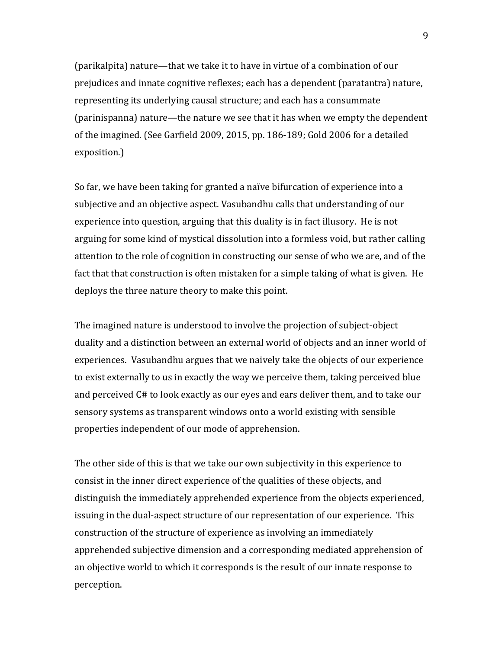(parikalpita) nature—that we take it to have in virtue of a combination of our prejudices and innate cognitive reflexes; each has a dependent (paratantra) nature, representing its underlying causal structure; and each has a consummate (parinispanna) nature—the nature we see that it has when we empty the dependent of the imagined. (See Garfield 2009, 2015, pp. 186-189; Gold 2006 for a detailed exposition.)

So far, we have been taking for granted a naïve bifurcation of experience into a subjective and an objective aspect. Vasubandhu calls that understanding of our experience into question, arguing that this duality is in fact illusory. He is not arguing for some kind of mystical dissolution into a formless void, but rather calling attention to the role of cognition in constructing our sense of who we are, and of the fact that that construction is often mistaken for a simple taking of what is given. He deploys the three nature theory to make this point.

The imagined nature is understood to involve the projection of subject-object duality and a distinction between an external world of objects and an inner world of experiences. Vasubandhu argues that we naively take the objects of our experience to exist externally to us in exactly the way we perceive them, taking perceived blue and perceived  $C#$  to look exactly as our eyes and ears deliver them, and to take our sensory systems as transparent windows onto a world existing with sensible properties independent of our mode of apprehension.

The other side of this is that we take our own subjectivity in this experience to consist in the inner direct experience of the qualities of these objects, and distinguish the immediately apprehended experience from the objects experienced, issuing in the dual-aspect structure of our representation of our experience. This construction of the structure of experience as involving an immediately apprehended subjective dimension and a corresponding mediated apprehension of an objective world to which it corresponds is the result of our innate response to perception.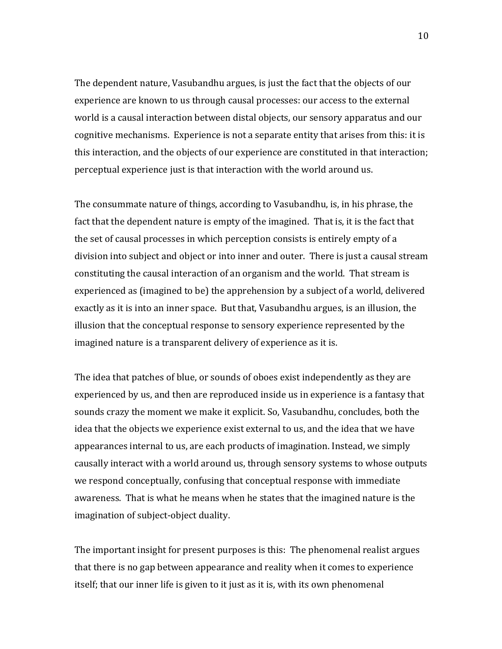The dependent nature, Vasubandhu argues, is just the fact that the objects of our experience are known to us through causal processes: our access to the external world is a causal interaction between distal objects, our sensory apparatus and our cognitive mechanisms. Experience is not a separate entity that arises from this: it is this interaction, and the objects of our experience are constituted in that interaction; perceptual experience just is that interaction with the world around us.

The consummate nature of things, according to Vasubandhu, is, in his phrase, the fact that the dependent nature is empty of the imagined. That is, it is the fact that the set of causal processes in which perception consists is entirely empty of a division into subject and object or into inner and outer. There is just a causal stream constituting the causal interaction of an organism and the world. That stream is experienced as (imagined to be) the apprehension by a subject of a world, delivered exactly as it is into an inner space. But that, Vasubandhu argues, is an illusion, the illusion that the conceptual response to sensory experience represented by the imagined nature is a transparent delivery of experience as it is.

The idea that patches of blue, or sounds of oboes exist independently as they are experienced by us, and then are reproduced inside us in experience is a fantasy that sounds crazy the moment we make it explicit. So, Vasubandhu, concludes, both the idea that the objects we experience exist external to us, and the idea that we have appearances internal to us, are each products of imagination. Instead, we simply causally interact with a world around us, through sensory systems to whose outputs we respond conceptually, confusing that conceptual response with immediate awareness. That is what he means when he states that the imagined nature is the imagination of subject-object duality.

The important insight for present purposes is this: The phenomenal realist argues that there is no gap between appearance and reality when it comes to experience itself; that our inner life is given to it just as it is, with its own phenomenal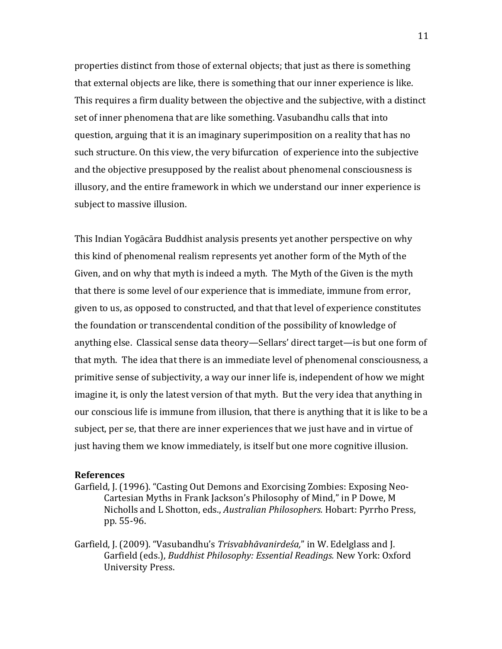properties distinct from those of external objects; that just as there is something that external objects are like, there is something that our inner experience is like. This requires a firm duality between the objective and the subjective, with a distinct set of inner phenomena that are like something. Vasubandhu calls that into question, arguing that it is an imaginary superimposition on a reality that has no such structure. On this view, the very bifurcation of experience into the subjective and the objective presupposed by the realist about phenomenal consciousness is illusory, and the entire framework in which we understand our inner experience is subject to massive illusion.

This Indian Yogācāra Buddhist analysis presents yet another perspective on why this kind of phenomenal realism represents yet another form of the Myth of the Given, and on why that myth is indeed a myth. The Myth of the Given is the myth that there is some level of our experience that is immediate, immune from error, given to us, as opposed to constructed, and that that level of experience constitutes the foundation or transcendental condition of the possibility of knowledge of anything else. Classical sense data theory—Sellars' direct target—is but one form of that myth. The idea that there is an immediate level of phenomenal consciousness, a primitive sense of subjectivity, a way our inner life is, independent of how we might imagine it, is only the latest version of that myth. But the very idea that anything in our conscious life is immune from illusion, that there is anything that it is like to be a subject, per se, that there are inner experiences that we just have and in virtue of just having them we know immediately, is itself but one more cognitive illusion.

#### **References**

- Garfield, J. (1996). "Casting Out Demons and Exorcising Zombies: Exposing Neo-Cartesian Myths in Frank Jackson's Philosophy of Mind," in P Dowe, M Nicholls and L Shotton, eds., *Australian Philosophers*. Hobart: Pyrrho Press, pp. 55-96.
- Garfield, J. (2009). "Vasubandhu's *Trisvabhāvanirdeśa*," in W. Edelglass and J. Garfield (eds.), *Buddhist Philosophy: Essential Readings.* New York: Oxford University Press.